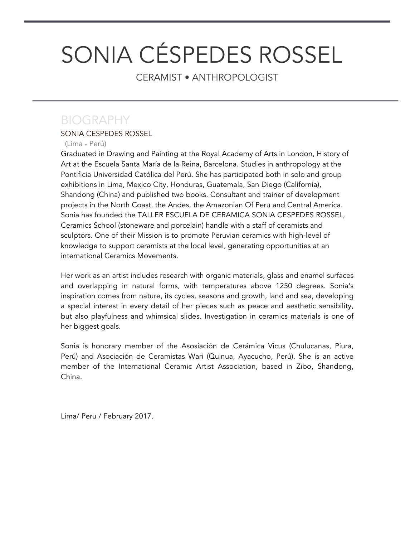# SONIA CÉSPEDES ROSSEL

CERAMIST • ANTHROPOLOGIST

## BIOGRAPHY

#### SONIA CESPEDES ROSSEL

#### (Lima - Perú)

Graduated in Drawing and Painting at the Royal Academy of Arts in London, History of Art at the Escuela Santa María de la Reina, Barcelona. Studies in anthropology at the Pontificia Universidad Católica del Perú. She has participated both in solo and group exhibitions in Lima, Mexico City, Honduras, Guatemala, San Diego (California), Shandong (China) and published two books. Consultant and trainer of development projects in the North Coast, the Andes, the Amazonian Of Peru and Central America. Sonia has founded the TALLER ESCUELA DE CERAMICA SONIA CESPEDES ROSSEL, Ceramics School (stoneware and porcelain) handle with a staff of ceramists and sculptors. One of their Mission is to promote Peruvian ceramics with high-level of knowledge to support ceramists at the local level, generating opportunities at an international Ceramics Movements.

Her work as an artist includes research with organic materials, glass and enamel surfaces and overlapping in natural forms, with temperatures above 1250 degrees. Sonia's inspiration comes from nature, its cycles, seasons and growth, land and sea, developing a special interest in every detail of her pieces such as peace and aesthetic sensibility, but also playfulness and whimsical slides. Investigation in ceramics materials is one of her biggest goals.

Sonia is honorary member of the Asosiación de Cerámica Vicus (Chulucanas, Piura, Perú) and Asociación de Ceramistas Wari (Quinua, Ayacucho, Perú). She is an active member of the International Ceramic Artist Association, based in Zibo, Shandong, China.

Lima/ Peru / February 2017.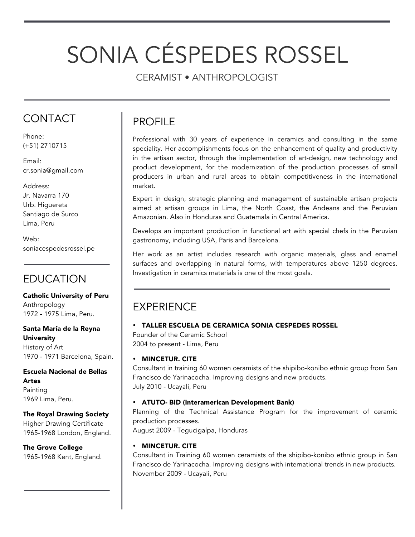# SONIA CÉSPEDES ROSSEL

CERAMIST • ANTHROPOLOGIST

## **CONTACT**

Phone: (+51) 2710715

Email: cr.sonia@gmail.com

#### Address: Jr. Navarra 170 Urb. Higuereta Santiago de Surco Lima, Peru

Web: soniacespedesrossel.pe

## EDUCATION

Catholic University of Peru Anthropology 1972 - 1975 Lima, Peru.

#### Santa María de la Reyna University History of Art 1970 - 1971 Barcelona, Spain.

Escuela Nacional de Bellas Artes Painting 1969 Lima, Peru.

#### The Royal Drawing Society

Higher Drawing Certificate 1965-1968 London, England.

The Grove College 1965-1968 Kent, England.

## PROFILE

Professional with 30 years of experience in ceramics and consulting in the same speciality. Her accomplishments focus on the enhancement of quality and productivity in the artisan sector, through the implementation of art-design, new technology and product development, for the modernization of the production processes of small producers in urban and rural areas to obtain competitiveness in the international market.

Expert in design, strategic planning and management of sustainable artisan projects aimed at artisan groups in Lima, the North Coast, the Andeans and the Peruvian Amazonian. Also in Honduras and Guatemala in Central America.

Develops an important production in functional art with special chefs in the Peruvian gastronomy, including USA, Paris and Barcelona.

Her work as an artist includes research with organic materials, glass and enamel surfaces and overlapping in natural forms, with temperatures above 1250 degrees. Investigation in ceramics materials is one of the most goals.

## EXPERIENCE

#### • TALLER ESCUELA DE CERAMICA SONIA CESPEDES ROSSEL

Founder of the Ceramic School 2004 to present - Lima, Peru

#### • MINCETUR. CITE

Consultant in training 60 women ceramists of the shipibo-konibo ethnic group from San Francisco de Yarinacocha. Improving designs and new products. July 2010 - Ucayali, Peru

#### • ATUTO- BID (Interamerican Development Bank)

Planning of the Technical Assistance Program for the improvement of ceramic production processes.

August 2009 - Tegucigalpa, Honduras

#### • MINCETUR. CITE

Consultant in Training 60 women ceramists of the shipibo-konibo ethnic group in San Francisco de Yarinacocha. Improving designs with international trends in new products. November 2009 - Ucayali, Peru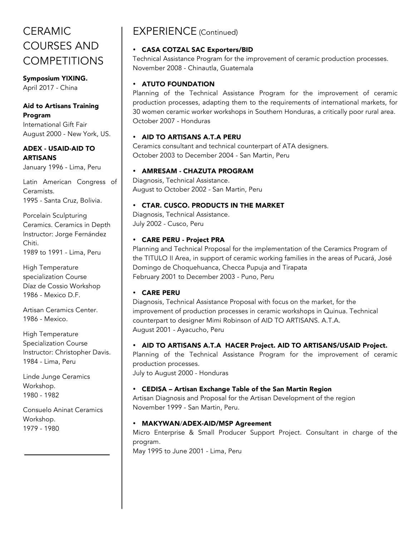## CERAMIC COURSES AND **COMPETITIONS**

Symposium YIXING. April 2017 - China

#### Aid to Artisans Training Program

International Gift Fair August 2000 - New York, US.

ADEX - USAID-AID TO ARTISANS January 1996 - Lima, Peru

Latin American Congress of Ceramists. 1995 - Santa Cruz, Bolivia.

Porcelain Sculpturing Ceramics. Ceramics in Depth Instructor: Jorge Fernández Chiti. 1989 to 1991 - Lima, Peru

High Temperature specialization Course Díaz de Cossio Workshop 1986 - Mexico D.F.

Artisan Ceramics Center. 1986 - Mexico.

High Temperature Specialization Course Instructor: Christopher Davis. 1984 - Lima, Peru

Linde Junge Ceramics Workshop. 1980 - 1982

Consuelo Aninat Ceramics Workshop. 1979 - 1980

## EXPERIENCE (Continued)

#### • CASA COTZAL SAC Exporters/BID

Technical Assistance Program for the improvement of ceramic production processes. November 2008 - Chinautla, Guatemala

#### • ATUTO FOUNDATION

Planning of the Technical Assistance Program for the improvement of ceramic production processes, adapting them to the requirements of international markets, for 30 women ceramic worker workshops in Southern Honduras, a critically poor rural area. October 2007 - Honduras

#### • AID TO ARTISANS A.T.A PERU

Ceramics consultant and technical counterpart of ATA designers. October 2003 to December 2004 - San Martin, Peru

#### • AMRESAM - CHAZUTA PROGRAM

Diagnosis, Technical Assistance. August to October 2002 - San Martin, Peru

#### • CTAR. CUSCO. PRODUCTS IN THE MARKET

Diagnosis, Technical Assistance. July 2002 - Cusco, Peru

#### • CARE PERU - Project PRA

Planning and Technical Proposal for the implementation of the Ceramics Program of the TITULO II Area, in support of ceramic working families in the areas of Pucará, José Domingo de Choquehuanca, Checca Pupuja and Tirapata February 2001 to December 2003 - Puno, Peru

#### • CARE PERU

Diagnosis, Technical Assistance Proposal with focus on the market, for the improvement of production processes in ceramic workshops in Quinua. Technical counterpart to designer Mimi Robinson of AID TO ARTISANS. A.T.A. August 2001 - Ayacucho, Peru

#### • AID TO ARTISANS A.T.A HACER Project. AID TO ARTISANS/USAID Project.

Planning of the Technical Assistance Program for the improvement of ceramic production processes.

July to August 2000 - Honduras

#### • CEDISA – Artisan Exchange Table of the San Martin Region

Artisan Diagnosis and Proposal for the Artisan Development of the region November 1999 - San Martin, Peru.

#### • MAKYWAN/ADEX-AID/MSP Agreement

Micro Enterprise & Small Producer Support Project. Consultant in charge of the program.

May 1995 to June 2001 - Lima, Peru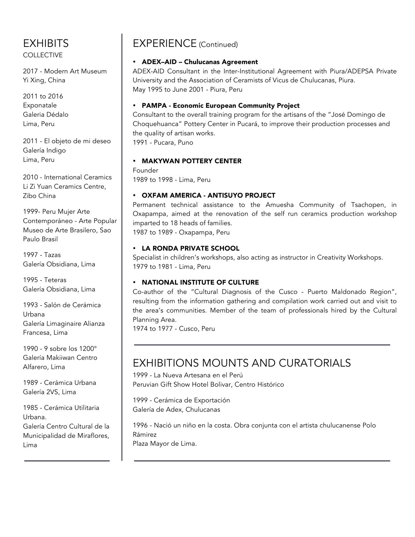### EXHIBITS

COLLECTIVE

2017 - Modern Art Museum Yi Xing, China

2011 to 2016 Exponatale Galeria Dédalo Lima, Peru

2011 - El objeto de mi deseo Galería Indigo Lima, Peru

2010 - International Ceramics Li Zi Yuan Ceramics Centre, Zibo China

1999- Peru Mujer Arte Contemporáneo - Arte Popular Museo de Arte Brasilero, Sao Paulo Brasil

1997 - Tazas Galería Obsidiana, Lima

1995 - Teteras Galería Obsidiana, Lima

1993 - Salón de Cerámica Urbana Galería Limaginaire Alianza Francesa, Lima

1990 - 9 sobre los 1200° Galería Makiiwan Centro Alfarero, Lima

1989 - Cerámica Urbana Galería 2VS, Lima

1985 - Cerámica Utilitaria Urbana. Galería Centro Cultural de la

Municipalidad de Miraflores, Lima

### EXPERIENCE (Continued)

#### • ADEX–AID – Chulucanas Agreement

ADEX-AID Consultant in the Inter-Institutional Agreement with Piura/ADEPSA Private University and the Association of Ceramists of Vicus de Chulucanas, Piura. May 1995 to June 2001 - Piura, Peru

#### • PAMPA - Economic European Community Project

Consultant to the overall training program for the artisans of the "José Domingo de Choquehuanca" Pottery Center in Pucará, to improve their production processes and the quality of artisan works.

1991 - Pucara, Puno

#### • MAKYWAN POTTERY CENTER

Founder 1989 to 1998 - Lima, Peru

#### • OXFAM AMERICA - ANTISUYO PROJECT

Permanent technical assistance to the Amuesha Community of Tsachopen, in Oxapampa, aimed at the renovation of the self run ceramics production workshop imparted to 18 heads of families.

1987 to 1989 - Oxapampa, Peru

#### • LA RONDA PRIVATE SCHOOL

Specialist in children's workshops, also acting as instructor in Creativity Workshops. 1979 to 1981 - Lima, Peru

#### • NATIONAL INSTITUTE OF CULTURE

Co-author of the "Cultural Diagnosis of the Cusco - Puerto Maldonado Region", resulting from the information gathering and compilation work carried out and visit to the area's communities. Member of the team of professionals hired by the Cultural Planning Area.

1974 to 1977 - Cusco, Peru

## EXHIBITIONS MOUNTS AND CURATORIALS

1999 - La Nueva Artesana en el Perú Peruvian Gift Show Hotel Bolivar, Centro Histórico

1999 - Cerámica de Exportación Galería de Adex, Chulucanas

1996 - Nació un niño en la costa. Obra conjunta con el artista chulucanense Polo Rámirez Plaza Mayor de Lima.